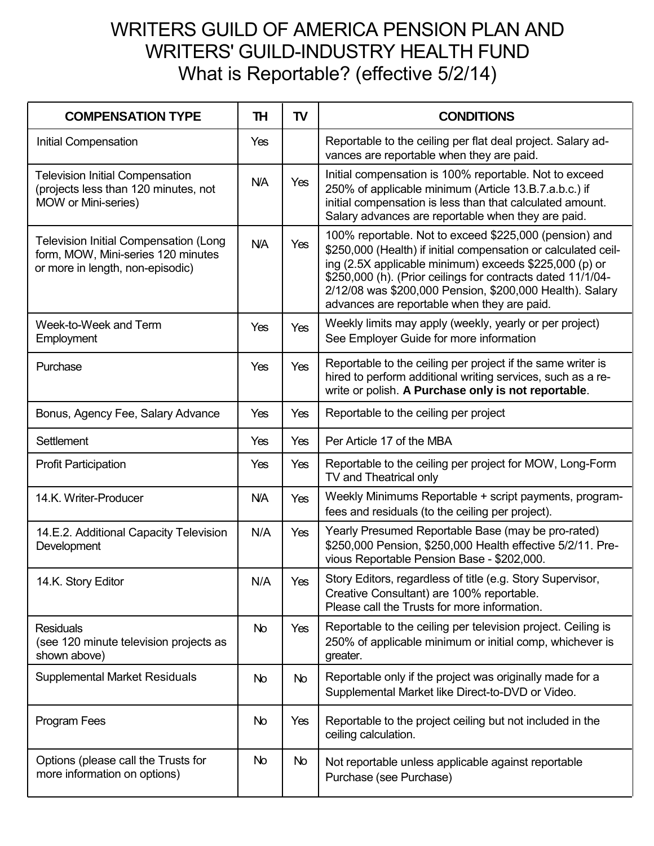## WRITERS GUILD OF AMERICA PENSION PLAN AND WRITERS' GUILD-INDUSTRY HEALTH FUND What is Reportable? (effective 5/2/14)

| <b>COMPENSATION TYPE</b>                                                                                               | TH         | TV         | <b>CONDITIONS</b>                                                                                                                                                                                                                                                                                                                                            |
|------------------------------------------------------------------------------------------------------------------------|------------|------------|--------------------------------------------------------------------------------------------------------------------------------------------------------------------------------------------------------------------------------------------------------------------------------------------------------------------------------------------------------------|
| Initial Compensation                                                                                                   | Yes        |            | Reportable to the ceiling per flat deal project. Salary ad-<br>vances are reportable when they are paid.                                                                                                                                                                                                                                                     |
| <b>Television Initial Compensation</b><br>(projects less than 120 minutes, not<br>MOW or Mini-series)                  | <b>N/A</b> | Yes        | Initial compensation is 100% reportable. Not to exceed<br>250% of applicable minimum (Article 13.B.7.a.b.c.) if<br>initial compensation is less than that calculated amount.<br>Salary advances are reportable when they are paid.                                                                                                                           |
| <b>Television Initial Compensation (Long</b><br>form, MOW, Mini-series 120 minutes<br>or more in length, non-episodic) | <b>N/A</b> | Yes        | 100% reportable. Not to exceed \$225,000 (pension) and<br>\$250,000 (Health) if initial compensation or calculated ceil-<br>ing (2.5X applicable minimum) exceeds \$225,000 (p) or<br>\$250,000 (h). (Prior ceilings for contracts dated 11/1/04-<br>2/12/08 was \$200,000 Pension, \$200,000 Health). Salary<br>advances are reportable when they are paid. |
| Week-to-Week and Term<br>Employment                                                                                    | Yes        | Yes        | Weekly limits may apply (weekly, yearly or per project)<br>See Employer Guide for more information                                                                                                                                                                                                                                                           |
| Purchase                                                                                                               | Yes        | <b>Yes</b> | Reportable to the ceiling per project if the same writer is<br>hired to perform additional writing services, such as a re-<br>write or polish. A Purchase only is not reportable.                                                                                                                                                                            |
| Bonus, Agency Fee, Salary Advance                                                                                      | Yes        | Yes        | Reportable to the ceiling per project                                                                                                                                                                                                                                                                                                                        |
| <b>Settlement</b>                                                                                                      | Yes        | Yes        | Per Article 17 of the MBA                                                                                                                                                                                                                                                                                                                                    |
| <b>Profit Participation</b>                                                                                            | Yes        | Yes        | Reportable to the ceiling per project for MOW, Long-Form<br>TV and Theatrical only                                                                                                                                                                                                                                                                           |
| 14.K. Writer-Producer                                                                                                  | <b>N/A</b> | Yes        | Weekly Minimums Reportable + script payments, program-<br>fees and residuals (to the ceiling per project).                                                                                                                                                                                                                                                   |
| 14.E.2. Additional Capacity Television<br>Development                                                                  | N/A        | Yes        | Yearly Presumed Reportable Base (may be pro-rated)<br>\$250,000 Pension, \$250,000 Health effective 5/2/11. Pre-<br>vious Reportable Pension Base - \$202,000.                                                                                                                                                                                               |
| 14.K. Story Editor                                                                                                     | N/A        | Yes        | Story Editors, regardless of title (e.g. Story Supervisor,<br>Creative Consultant) are 100% reportable.<br>Please call the Trusts for more information.                                                                                                                                                                                                      |
| <b>Residuals</b><br>(see 120 minute television projects as<br>shown above)                                             | No         | Yes        | Reportable to the ceiling per television project. Ceiling is<br>250% of applicable minimum or initial comp, whichever is<br>greater.                                                                                                                                                                                                                         |
| <b>Supplemental Market Residuals</b>                                                                                   | No         | <b>No</b>  | Reportable only if the project was originally made for a<br>Supplemental Market like Direct-to-DVD or Video.                                                                                                                                                                                                                                                 |
| Program Fees                                                                                                           | No         | Yes        | Reportable to the project ceiling but not included in the<br>ceiling calculation.                                                                                                                                                                                                                                                                            |
| Options (please call the Trusts for<br>more information on options)                                                    | No         | No         | Not reportable unless applicable against reportable<br>Purchase (see Purchase)                                                                                                                                                                                                                                                                               |